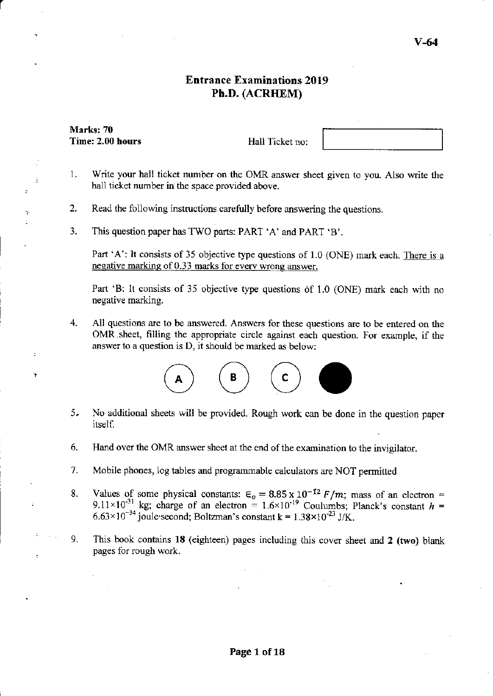# Entrance Examinations 2019 Ph.D. (ACRHEM)

Marks: 70 Time: 2,00 hours

٠

Hall Ticket no:

- t. Write your hall ticket number on the OMR answer sheet given to you. Also write the hall ticket number in the space provided above.
- 2. Read the following instructions carefully before answering the questions.
- 3. This question paper has TWO parts: PART 'A' and PART 'B'.

Part 'A': It consists of 35 objective type questions of 1.0 (ONE) mark each. There is a negative marking of 0.33 marks for every wrong answer.

Part 'B: lt consists of 35 objective type questions of 1.0 (ONE) mark each with no negative marking.

4. All questions are to be answered. Answers for these questions are to be entered on the OMR.sheet, filling the appropriate circle against each question. For example, if the answer to a question is D, it should be marked as below:



- $5.$ No additional sheets will be provided. Rough work can be done in the question paper itself.
- Hand over the OMR answer sheet at the end of the examination to the invigilator. 6.
- Mobile phones, log tables and programmable calculators are NOT permitted 7.
- Values of some physical constants:  $\epsilon_o = 8.85 \times 10^{-12} F/m$ ; mass of an electron = 9.11×10<sup>-31</sup> kg; charge of an electron = 1.6×10<sup>-19</sup> Coulumbs; Planck's constant h =  $6.63 \times 10^{-34}$  joule second: Boltzman's constant k = 1.38 $\times 10^{-23}$  J/K. 8.
- This book contains  $18$  (eighteen) pages including this cover sheet and  $2$  (two) blank pages for rough work. 9.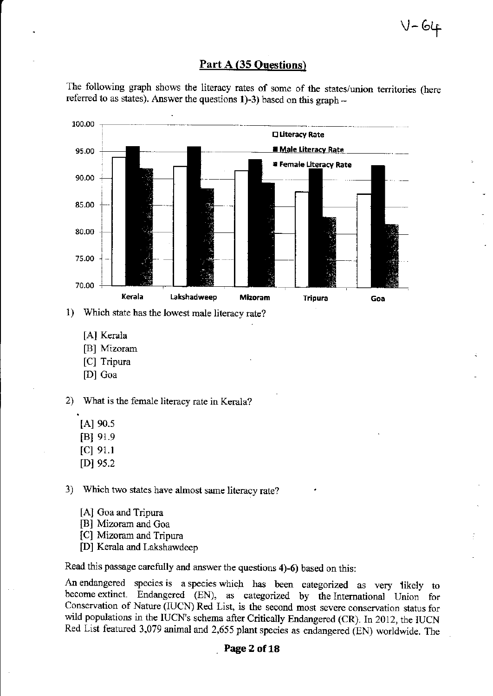$V - 64$ 

#### Part A (35 Questions)

The following graph shows the literacy rates of some of the states/union territories (here referred to as states). Answer the questions  $1$ )-3) based on this graph  $-$ 



<sup>I</sup>) Which state has the lowest male literacy rate?

- [A] Kerala
- [B] Mizoram
- [C] Tripura
- [D] Goa

2) What is the female literacy rate in Kerala?

- [A] 90.5  $[B]$  91.9
- [c] 91.1
- lD19s.2

3) Which two states have almost same literacy rate?

- [A] Goa and Tripura
- [B] Mizoram and Goa
- [C] Mizoram and Tripura
- [D] Kerala and Lakshawdeep

Read this passage carefully and answer the questions 4)-6) based on this:

An endangered species is a species which has been categorized as very likely to become extinct. Endangered (EN), as categorized by the International Union for Conservation of Nature (IUCN) Red List, is the second most severe conservation status for wild populations in the IUCN's schema after Critically Endangered (CR). In 2012, the IUCN Red List featured 3,079 animal and 2,655 plant species as endangered (EN) worldwide. The

#### Page 2 of 18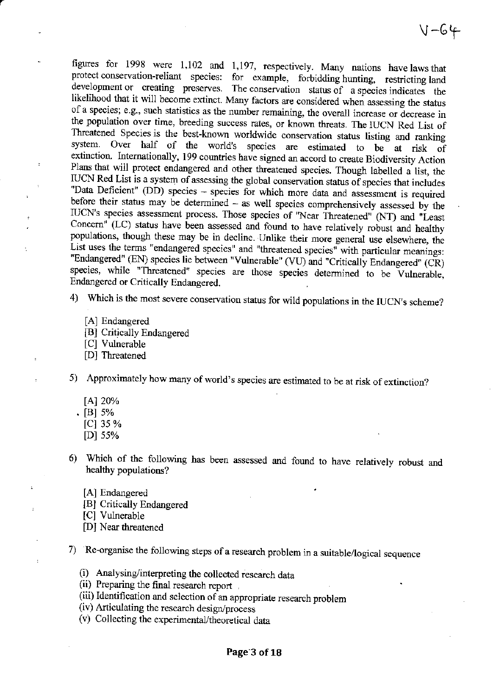figures for 1998 were 1,102 and 1,197, respectively. Many nations have laws that protect conservation-reliant species: for example, forbidding hunting, restricting land development or creating preserves. The conservation likelihood that it will become extinct. Many factors are considered when assessing the status of a species; e.g., such statistics as the number remaining, the overall increase or decrease in the population over time, breeding success rates, or known threats. The IUCN Red List of Threatened Species is the best-known worldwide conservation status listing and ranking system. Over half of the world's species are estimated to be at risk of extinction. Internationally, 199 countries have signed an accord to create Biodiversity Action<br>Plans that will protect endangered and other threatened species. Though labelled a list, the IUCN Red List is a system of assessing the global conservation status of species that includes "Data Deficient" (DD) species - species for which more data and assessment is required before their status may be determined – as well species comprehensively assessed by the IUCN's species assessment process. Those species of "Near Threatened" (NT) and "Least Concern" (LC) status have been assessed and foun populations, though these may be in decline. Unlike their more general use elsewhere, the List uses the terms "endangered species" and "threatened species" with particular meanings: "Endangered" (EN) species lie between "Vulnerable" (VU) and "Critically Endangered" (CR) species, while "Threatened" species are those species determined to be Vulnerable, Fndargered or Crirically Endangered.

4) Which is the most severe conservation status for wild populations in the IUCN's scheme?

[A] Endangered

 $\ddot{\phantom{1}}$ 

- [B] Critically Endangered
- [C] Vulnerable
- [D] Threatered
- 5) ApFoximately how many of world's species are estimated to be at risk of extinction?
	- $[A]$  20%
	- .  $[B] 5%$ 
		- [c] 3s %
		- $[D]$  55%
- 6) Which of the following has been assessed and found to have relatively robust and healthy populations?
	- [A] Endangered
	- [B] Critically Endangered
	- [C] Vulnerable
	- fDl Near threatened
- 7) Re-organise the following steps of a research problem in a suitable/logical sequence
	- (i) Analysing/interpreting the collected research data (ii) Preparing the final research report
	-
	- (iii) Identification and selection of an appropriate research problem
	- (iv) Articulating the reseatch design/process
	- (v) Collecting the experimental/theoretical data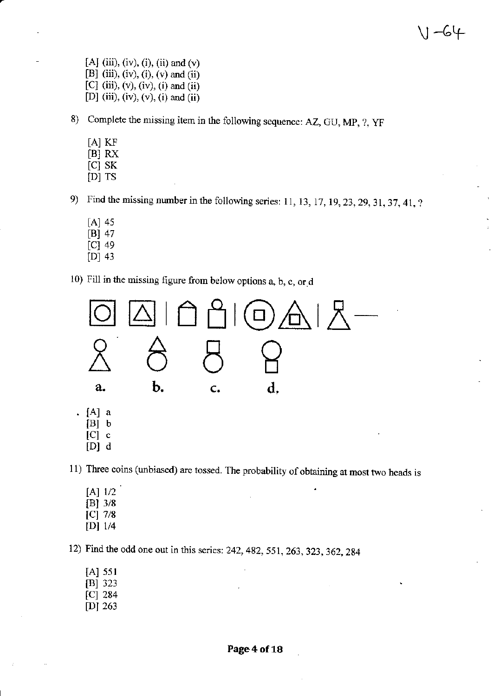! -6tr

[A] (iii), (iv), (i), (ii) and (v) [B] (iii), (iv), (i), (v) and (ii) [C] (iii), (v), (iv), (i) and (ii) [D] (iii), (iv), (v), (i) and (ii)

8) Complete the missing item in the following sequence: AZ, GU, MP, ?, YF

- $[A]$  KF  $[B] RX$  $[C]$  SK
- IDI TS

9) Find the missing number in the following series: 11, 13, 17, 19, 23, 29, 31, 37, 41, ?

- [A] 45
- $[B]$  47
- [c] 49
- $[D]$  43

10) Fill in the missing figure from below options a, b, c, or d



- $[C]$  c
- $[D]$  d

<sup>I</sup>1) Three coins (unbiased) are tossed. The probability of obtaining at most two heads is

- $[A]$  1/2 lBl 3/8 lcl 7/8 [Di 1/4
- 12) Find the odd one out in this series: 242, 482, 5Sl,263,323,362,2g4
	- $[A]$  551 lBl J23 [c] <sup>284</sup> [D]  $263$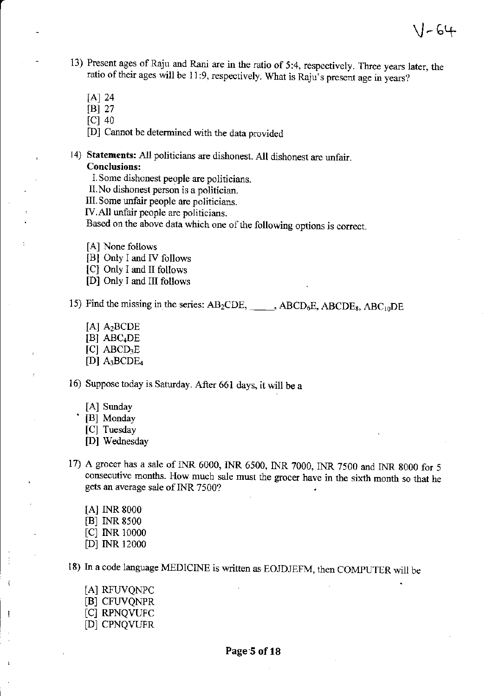13) Present ages of Raju and Rani are in the ratio of 5:4, respectively. Three years later, the ratio of their ages will be 11:9, respectively. What is Raju's present age in years?

V-6+

- IAI 24
- [B] 27
- [c] 40
- [D] Cannot be determined with the data provided

#### 14) Statements: All politicians are dishonest. All dishonest are unfair. Conclusions:

- I. Some dishonest people are politicians.
- II. No dishonest person is a politician.
- III. Some unfair people are politicians.
- IV.All unfair people are politicians.

Based on the above data which one of the following options is correct.

- [A] None follows
- [B] Only I and IV follows
- [C] Only I and II follows
- [D] Only I and III follows

15) Find the missing in the series:  $AB_2CDE$ , ABCD<sub>6</sub>E, ABCDE<sub>8</sub>, ABC<sub>10</sub>DE

- $[A]$  A<sub>2</sub>BCDE
- [B] ABC4DE
- $[C]$  ABCD<sub>3</sub>E
- [D] A<sub>3</sub>BCDE<sub>4</sub>

16) Suppose today is Saturday. After 661 days, it will be a

- [A] Sunday<br>[B] Monday
- 
- [C] Tuesday
- [D] Wednesday
- 17) A grocer has a sale of INR 6000, INR 6500, INR 7000, INR 7500 and INR 8000 for <sup>5</sup> consecutive months. How much sale must the grocer have in the sixth month so that he gets an average sale of INR 7500?
	- $[A]$  INR 8000
	- [B] INR 8500
	- [C] **INR 10000**
	- fDl INR 12000

18) In a code language MEDICINE is written as EOJDJEFM, then COMPUTER will be

[A] RFUVQNPC [B] CFWQNPR [C] RPNQVUFC [DI CPNQVUFR

ţ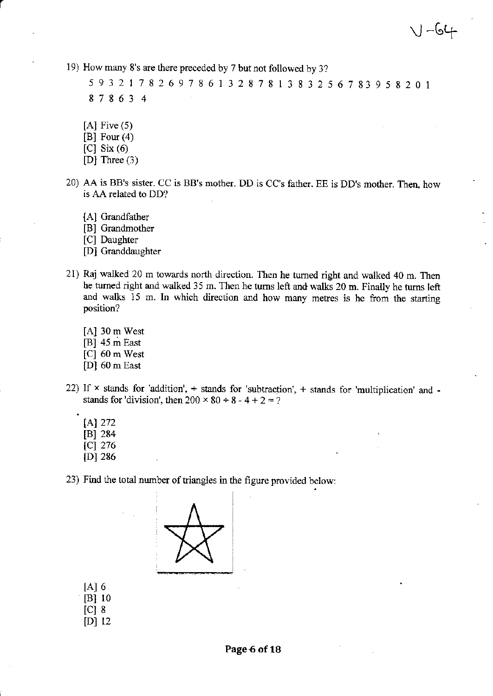19) How many 8's are there preceded by 7 but not followed by 3?

5 9 3 2 1 7 8 2 6 9 7 8 6 1 3 2 8 7 8 1 3 8 3 2 5 6 7 8 3 9 5 8 2 0 1 87 8 63 <sup>4</sup>

U -t"+

- $[A]$  Five  $(5)$
- $[B]$  Four  $(4)$
- $[C]$  Six (6)
- [D] Three (3)
- 20) AA is BB's sister. CC is BB's mother. DD is CC's father. EE is DD's mother. Then. how is AA related to DD?

{Al Grandfather

[B] Grandmother

[C] Daughter

- [D] Granddaughter
- 21) Raj walked 20 m towards north direction. Then he turned right and walked 40 m. Then he turned right and walked 35 m. Then he turns left and walks 20 m. Finally he turns left and walks 15 m. In which direction and how many metres is he from the starting position?
	- [A] 30 m West [B] 45 m East [C] 60 m West [D] 60 m East
- 22) If  $\times$  stands for 'addition',  $+$  stands for 'subtraction',  $+$  stands for 'multiplication' and stands for 'division', then  $200 \times 80 \div 8 - 4 + 2 = ?$ 
	- $[A]$  272 lBl 284  $|C|$  276 lDl 286

23) Find the total number of triangles in the figure provided below:



 $[A]$  6 [B] 10  $[C]$  8 [D] 12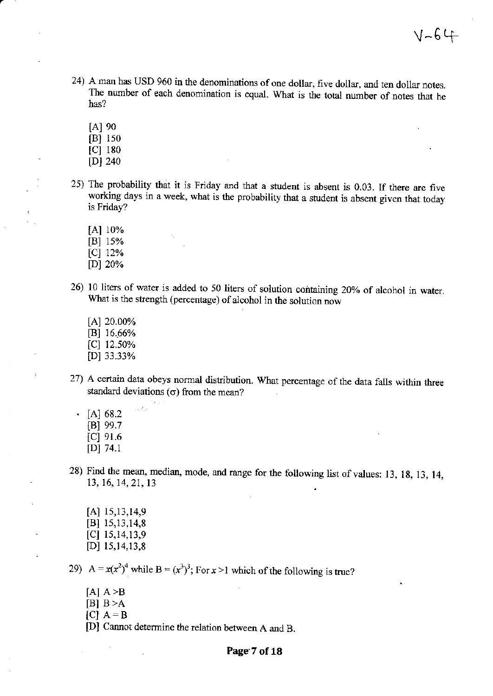- 24) A man has USD 960 in the denominations of one dollar, five dollar, and ten dollar notes. The number of each denomination is equal. What is the total number of notes that he has?
	- $[A]$  90
	- $[B] 150$
	- $[C]$  180
	- [Dj 240
- 25) The probability that it is Friday and that a student is absent is 0.03. If there are five working days in a week, what is the probability that a student is absent given that today is Friday?
	- [A] 10%
	- [B] 15%
	- $|C|$  12%
	- pl20%
- 26) 10 liters of water is added to 50 liters of solution containing 20% of alcohol in water. What is the strength (percentage) of alcohol in the solution now
	- $[A]$  20.00% El 16.66% [C] 12.50% [D] 33.33%
- 27) A certain data obeys normal distribution. What percentage of the data falls within three standard deviations  $(\sigma)$  from the mean?
	- $\cdot$  [A] 68.2  $[B]$  99.7  $[C]$  91.6  $[D]$  74.1
- 28) Find the mean, median, mode, and range for the following list of values: 13, 18, 13, 14, 13, t6,14.21,13
	- $[A]$  15,13,14,9 [B] 1s,13,14,8  $[C]$  15,14,13,9  $[D]$  15,14,13,8
- 29) A= $x(x^2)^4$  while B =  $(x^3)^3$ ; For x > l which of the following is true?
	- $[A]$  A  $\geq$ B
	- $[B]$  B > A
	- $[CI \ A = B]$
	- [D] Cannot determine the relation between A and B.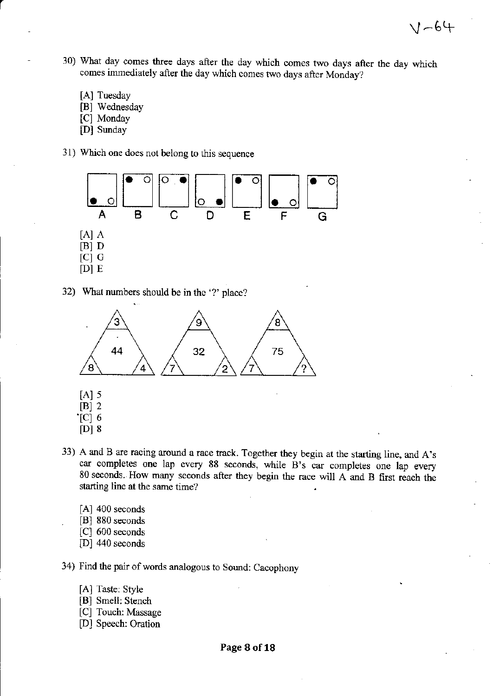- 30) What day comes three days after the day which comes two days after the day which comes imrnediately after the day which comes two days after Monday?
	- [A] Tuesday
	- [B] Wednesday
	- [C] Monday
	- [D] Sunday
- 31) Which one does not belong to this sequence



32) What numbers should be in the '?' place?



- 33) A and B are racing around a race track. Together they begin at the starting line, and A's car completes one lap every 88 seconds, while B's car completes one lap every 80 seconds. How many seconds after they begin the race will A and B first reach the starting line at the same time?
	- [A] 400 seconds
	- [B] 880 seconds
	- [C] 600 seconds
	- fDl 440 seconds
- 34) Find the pair of words analogous to Sound: Cacophony
	- [A] Taste: Style
	- [B] Smell: Stench
	- [C] Touch: Massage
	- [Dl Speech: Oration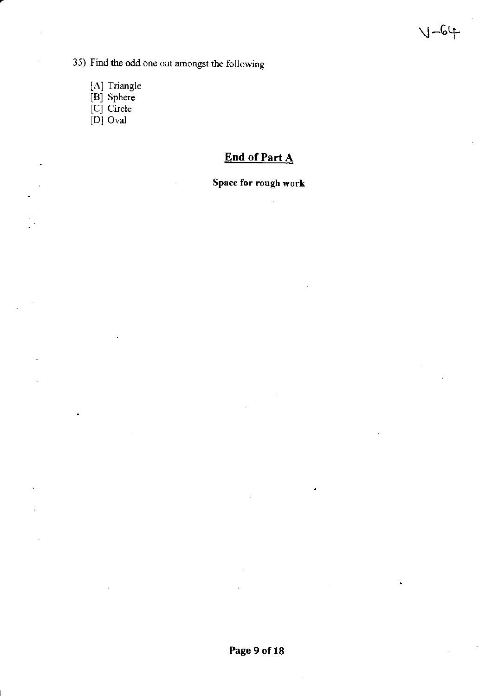- 35) Find the odd one out amongst the following
	- [A] Triangle
	- [B] Sphere
	- [C] Circle
	- [D] Oval

### **End of Part A**

 $1-64$ 

### Space for rough work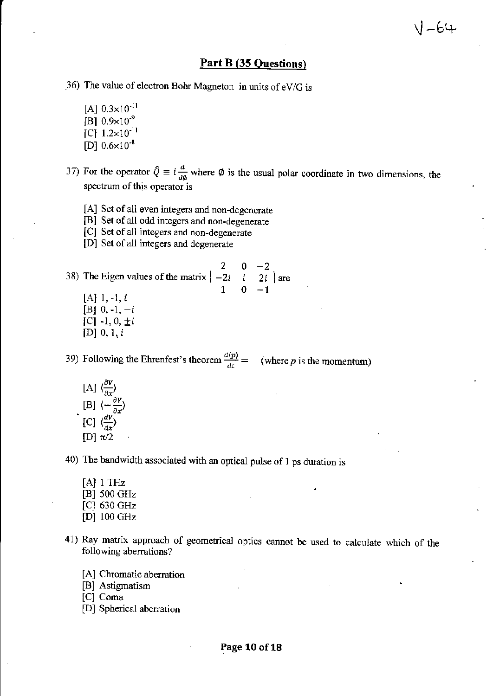#### Part B (35 Questions)

[36] The value of electron Bohr Magneton in units of eV/G is

[A]  $0.3 \times 10^{-11}$ 

- [B]  $0.9 \times 10^{-9}$
- [C]  $1.2 \times 10^{-11}$
- [D]  $0.6 \times 10^{-8}$
- 37) For the operator  $\hat{Q} \equiv i \frac{d}{d\phi}$  where  $\phi$  is the usual polar coordinate in two dimensions, the spectrum of this operator is
	- [A] Set of all even integers and non-degenerate
	- [B] Set of all odd integers and non-degenerate
	- [C] Set of all integers and non-degenerate
	- [D] Set of all integers and degenerate

38) The Eigen values of the matrix  $\begin{pmatrix} 2 & 0 & -2 \\ -2i & i & 2i \end{pmatrix}$  are

 $[A]$  1, -1, i [B]  $0, -1, -i$ [C] -1, 0,  $\pm i$ [D]  $0, 1, i$ 

39) Following the Ehrenfest's theorem  $\frac{d(p)}{dt}$  = (where p is the momentum)

[A]  $\langle \frac{\partial v}{\partial x} \rangle$ <br>[B]  $\langle -\frac{\partial v}{\partial x} \rangle$ <br>[C]  $\langle \frac{dv}{dx} \rangle$  $[D]$   $\pi/2$ 

40) The bandwidth associated with an optical pulse of 1 ps duration is

- $[A]$  1 THz [B] 500 GHz [C] 630 GHz  $[D]$  100 GHz
- 41) Ray matrix approach of geometrical optics cannot be used to calculate which of the following aberrations?
	- [A] Chromatic aberration
	- [B] Astigmatism
	- [C] Coma
	- [D] Spherical aberration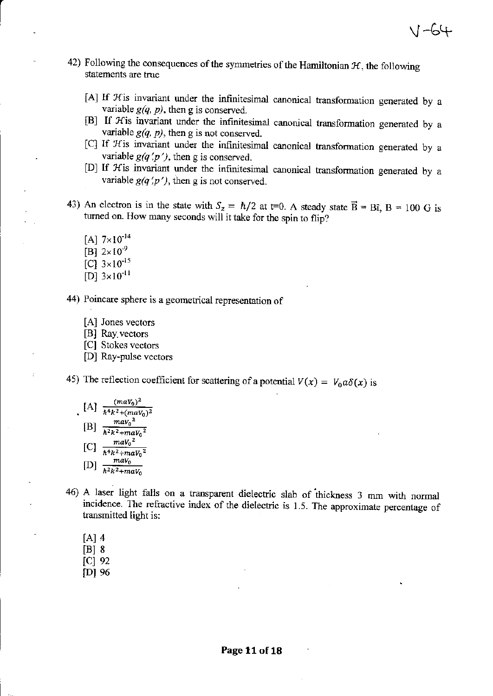- 42) Following the consequences of the symmetries of the Hamiltonian  $H$ , the following statements are true
	- [A] If  $H$  is invariant under the infinitesimal canonical transformation generated by a variable  $g(q, p)$ , then g is conserved.
	- [B] If  $H$  is invariant under the infinitesimal canonical transformation generated by a variable  $g(q, p)$ , then g is not conserved.
	- [C] If  $H$  is invariant under the infinitesimal canonical transformation generated by a variable  $g(q', p')$ , then g is conserved.
	- [D] If  $H$  is invariant under the infinitesimal canonical transformation generated by a variable  $g(q'p')$ , then g is not conserved.
- 43) An electron is in the state with  $S_z = \hbar/2$  at t=0. A steady state  $\vec{B} = B\hat{i}$ , B = 100 G is turned on. How many seconds will it take for the spin to flip?
	- $[A]$  7×10<sup>-14</sup>
	- $[B]$  2×10<sup>-9</sup>
	- [C]  $3 \times 10^{-15}$
	- [D]  $3 \times 10^{-11}$
- 44) Poincare sphere is a geometrical representation of
	- [A] Jones vectors
	- [B] Ray vectors
	- [C] Stokes vectors
	- [D] Ray-pulse vectors

45) The reflection coefficient for scattering of a potential  $V(x) = V_0 a \delta(x)$  is

[A] 
$$
\frac{(maV_0)^2}{\hbar^4 k^2 + (maV_0)^2}
$$
  
\n[B] 
$$
\frac{m aV_0^2}{\hbar^2 k^2 + maV_0^2}
$$
  
\n[C] 
$$
\frac{m aV_0^2}{\hbar^4 k^2 + maV_0^2}
$$
  
\n[D] 
$$
\frac{m aV_0}{\hbar^2 k^2 + maV_0}
$$

- 46) A laser light falls on a tansparent dielectric slab of'thickness 3 mm with normal incidence. The refractive index of the dielectric is 1.5. The approximate percentage of transmitted light is:
	- $[A]$  4
	- $|B|$  8
	- $|C|$  92
	- $[D]$  96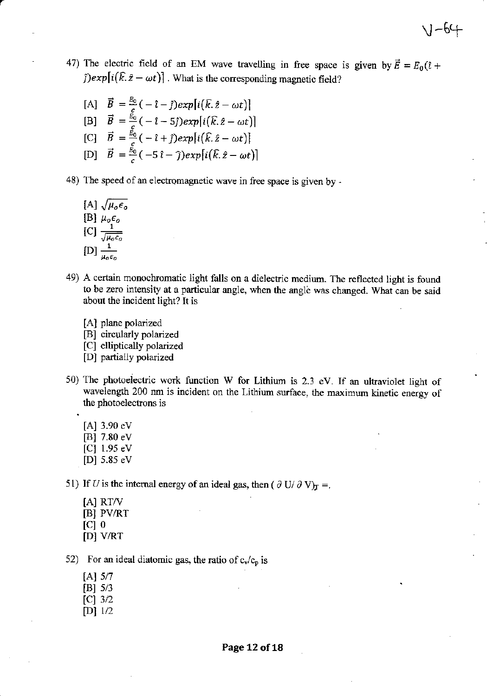47) The electric field of an EM wave travelling in free space is given by  $\vec{E}=E_0(\hat{i}+$  $\hat{j}$ )  $exp[i(\hat{k}.\hat{z} - \omega t)]$ . What is the corresponding magnetic field?

[A] 
$$
\vec{B} = \frac{E_0}{c}(-\hat{\imath} - \hat{\jmath})exp[i(\hat{k}.\hat{z} - \omega t)]
$$
  
\n[B]  $\vec{B} = \frac{E_0}{c}(-\hat{\imath} - 5\hat{\jmath})exp[i(\hat{k}.\hat{z} - \omega t)]$   
\n[C]  $\vec{B} = \frac{E_0}{c}(-\hat{\imath} + \hat{\jmath})exp[i(\hat{k}.\hat{z} - \omega t)]$   
\n[D]  $\vec{B} = \frac{E_0}{c}(-5\hat{\imath} - \hat{\jmath})exp[i(\hat{k}.\hat{z} - \omega t)]$ 

48) The speed of an electromagnetic wave in free space is given by -

[A]  $\sqrt{\mu_o \epsilon_o}$ [B]  $\mu_o \epsilon_o$  $\begin{bmatrix} 1 & -1 \\ 1 & -1 \end{bmatrix}$  $[D] \frac{1}{\mu}$ 

49) A certain monochromatic light falls on a dielectric medium. The reflected light is found to be zero intensity at a particular angle, when the angle was changed. What can be said about the incident light? It is

[A] plane polarized

[B] circularly polarized

[C] elliptically polarized

[D] partially polarized

50) The photoelectric work function W for Lithium is 2.3 eV. If an ultraviolet light of wavelength 200 nm is incident on the Lithium surface, the maximum kinetic energy of . the photoelectrons is

[A] 3.90 eV [B] 7.80 eV [C] 1.95 ev [D]  $5.85$  eV

51) If U is the internal energy of an ideal gas, then ( $\partial$  U/ $\partial$  V) $_T$  =.

- lAl Rr/v [B] PV/RT  $|C|$  0 lDl v/Rr
- 52) For an ideal diatomic gas, the ratio of  $c\sqrt{c_p}$  is
	- $[A]$  5/7
	- $[B] 5/3$
	- $[C]$  3/2
	- $[D]$  1/2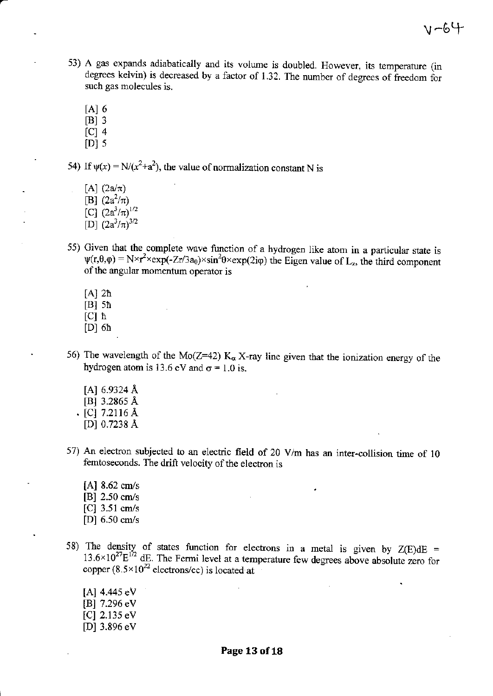- 53) A gas expands adiabatically and its volume is doubled. However, its temperature (in degrees kelvin) is decreased by a factor of l 32. The number of degrees of freedom for such gas molecules is.
	- $[A]$  6
	- $[B]$  3
	- $|C|$  4
	- $[D]$  5

54) If  $\psi(x) = N/(x^2+a^2)$ , the value of normalization constant N is

- [A]  $(2a/\pi)$ [B]  $(2a^2/\pi)$
- [C]  $(2a^3/\pi)^{1/2}$
- [D]  $(2a^3/\pi)^{3/2}$
- 
- 55) Given that the complete wave function of a hydrogen like atom in a particular state is  $\psi(r,\theta,\varphi) = N \times r^2 \times \exp(-Zr/3a_0) \times \sin^2\theta \times \exp(2i\varphi)$  the Eigen value of L<sub>z</sub>, the third component of the angular momentum operator is
	- $[A]$  2h
	- $[B]$  5h
	- [c] h
	- $[D]$  6h
- 56) The wavelength of the Mo(Z=42) K<sub> $\alpha$ </sub> X-ray line given that the ionization energy of the hydrogen atom is 13.6 eV and  $\sigma$  = 1.0 is.
	- $[A]$  6.9324 Å [B] 3.2865 A . [c] 7.2116 A [D]  $0.7238 \text{ Å}$
- 57) An electron subjected to an electric field of 20 V/m has an inter-collision time of <sup>10</sup> femtoseconds. The drift velocity of the electron is
	- [A] 8.62 cm/s [B] 2.50 cm/s [C] 3.51 cm/s [D] 6.50 cm/s
- 58) The density of states function for electrons in a metal is given by  $Z(E)dE =$  $13.6 \times 10^{27}$ E<sup>1/2</sup> dE. The Fermi level at a temperature few degrees above absolute zero for copper  $(8.5 \times 10^{22} \text{ electrons/cc})$  is located at
	- [A] 4.445 ev [B] 7.296 eV [C] 2.135 eV [D] 3.896 eV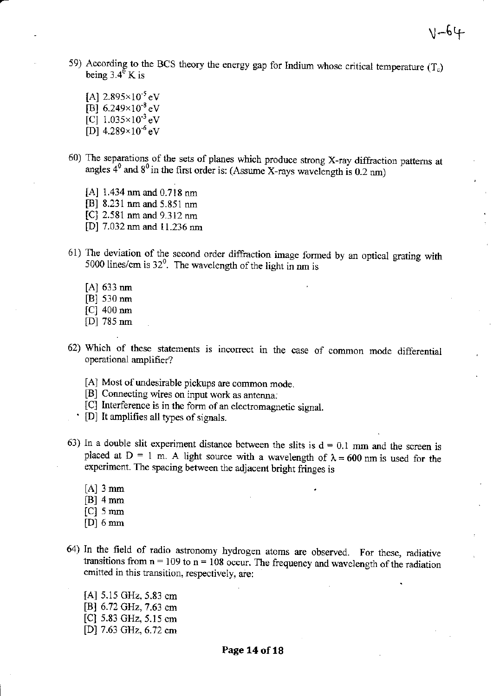59) According to the BCS theory the energy gap for Indium whose critical temperature  $(T_c)$ being  $3.4^{\circ}$  K is

[A]  $2.895 \times 10^{-5}$  eV  $\overline{[B]}$  6.249×10<sup>-8</sup> eV [C]  $1.035 \times 10^{-3}$  eV  $[D]$  4.289×10<sup>-6</sup> eV

- 60) The separations of the sets of planes which produce strong X-ray diffraction patterns at angles  $4^0$  and  $8^0$  in the first order is: (Assume X-rays wavelength is 0.2 nm)
	- lAl 1.434 nm and 0.718 nm [B] 8.231 nm and 5.851 nm [C] 2.581 nm and 9.312 nm [D] 7.032 nm and 11.236 nm
- 61) The deviation of the second order dilfraction image formed by an oprical grating with 5000 lines/cm is  $32^0$ . The wavelength of the light in nm is
	- $[A]$  633 nm
	- $[B]$  530 nm
	- [C] 400 nm
	- [D] 785 nm
- 62) Which of these statements is incorrect in the case of common mode differential operational amplifier?
	- [A] Most of undesirable pickups are common mode.
	- [B] Connecting wires on input work as antenna;
	- [C] Interference is in the form of an electromagnetic signal.  $\cdot$  [D] It amplifies all types of signals.
	-
- 63) In a double slit experiment distance between the slits is  $d = 0.1$  mm and the screen is placed at D = 1 m. A light source with a wavelength of  $\lambda = 600$  nm is used for the experiment. The spacing between the adjacent bright fringes is
	- $[A]$  3 mm
	- $|B|$  4 mm
	- $[C]$  5 mm
	- $[D]$  6 mm
- 64) In the field of radio astronomy hydrogen atoms are observed. For these, radiative transitions from  $n = 109$  to  $n = 108$  occur. The frequency and wavelength of the radiation emitted in this transition, respectively, are:

 $[A]$  5.15 GHz, 5.83 cm [B] 6.72 GHz, 7.63 cm  $[C]$  5.83 GHz, 5.15 cm [D]  $7.63$  GHz,  $6.72$  cm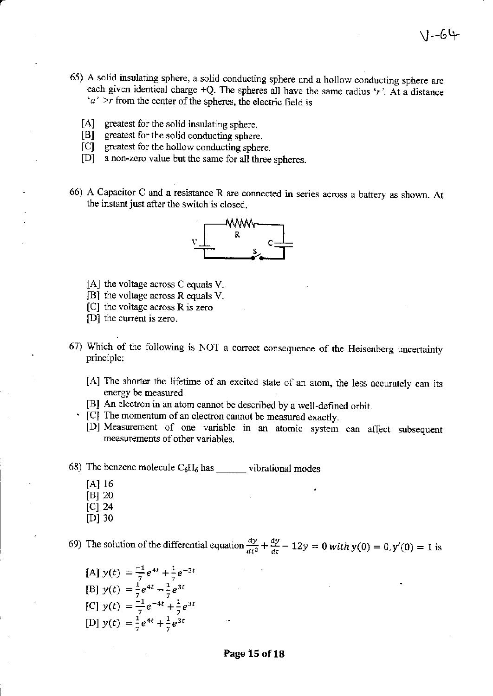- 65) A solid insulating sphere, a solid conducting sphere ard a hollow conducting sphere axe each given identical charge +Q. The spheres all have the same radius 'r'. At a distance 'a' >r from the center of the spheres, the electric field is
	- [A] greatest for the solid insulating sphere.

a

- lBl greatest for the solid conducting sphere.
- [C] geatest for the hollow conducting sphere.
- [D] a non-zero value but the sarne for all three spheres.
- 66) A Capacitor C and a resistance R are connected in series across a battery as shown. At the instant just after the switch is closed,



- [A] the voltage across C equals V.
- [B] the voltage across R equals V.
- $[C]$  the voltage across R is zero
- [D] the current is zero.
- 67) Which of the following is NOT a correct consequence of the Heisenberg uncertainty principle:
	- [A] The shorter the lifetime of an excited slate of an atom, the less accuately can its energy be measured
	- [B] An electron in an atom cannot be described by a well-defined orbit.
	- [C] The momentum of an electron cannot be measured exactly.
		- [D] Measurement of one variable in an atomic system can affect subsequent measurements of other variables.
- 68) The benzene molecule  $C_6H_6$  has we vibrational modes
	- [A] <sup>16</sup>
	- [B] 20
	- $\lceil C \rceil$  24
	- [D] 30

69) The solution of the differential equation  $\frac{dy}{dt^2} + \frac{dy}{dt} - 12y = 0$  with  $y(0) = 0$ ,  $y'(0) = 1$  is

 $[A]$   $y(t)$  $[B]$   $y(t)$  $[C]$   $y(t)$  $[D]$   $y(t)$  $=\frac{-1}{7}$ "t"<br>"t"  $+1$ "-st  $=\frac{1}{7}e^{4t}+\frac{1}{7}e^{3t}$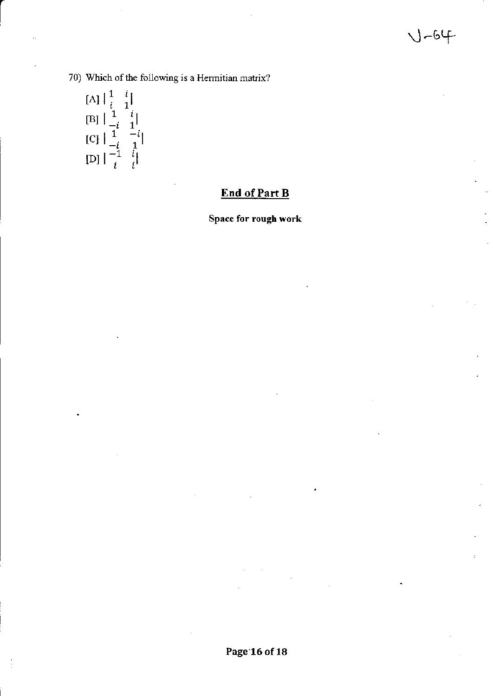70) Which of the following is a Hermitian matrix?

[A] 
$$
\begin{vmatrix} 1 & i \\ i & 1 \end{vmatrix}
$$
  
\n[B]  $\begin{vmatrix} 1 & i \\ -i & 1 \end{vmatrix}$   
\n[C]  $\begin{vmatrix} 1 & -i \\ -i & 1 \end{vmatrix}$   
\n[D]  $\begin{vmatrix} -1 & i \\ i & i \end{vmatrix}$ 

# **End of Part B**

Space for rough work